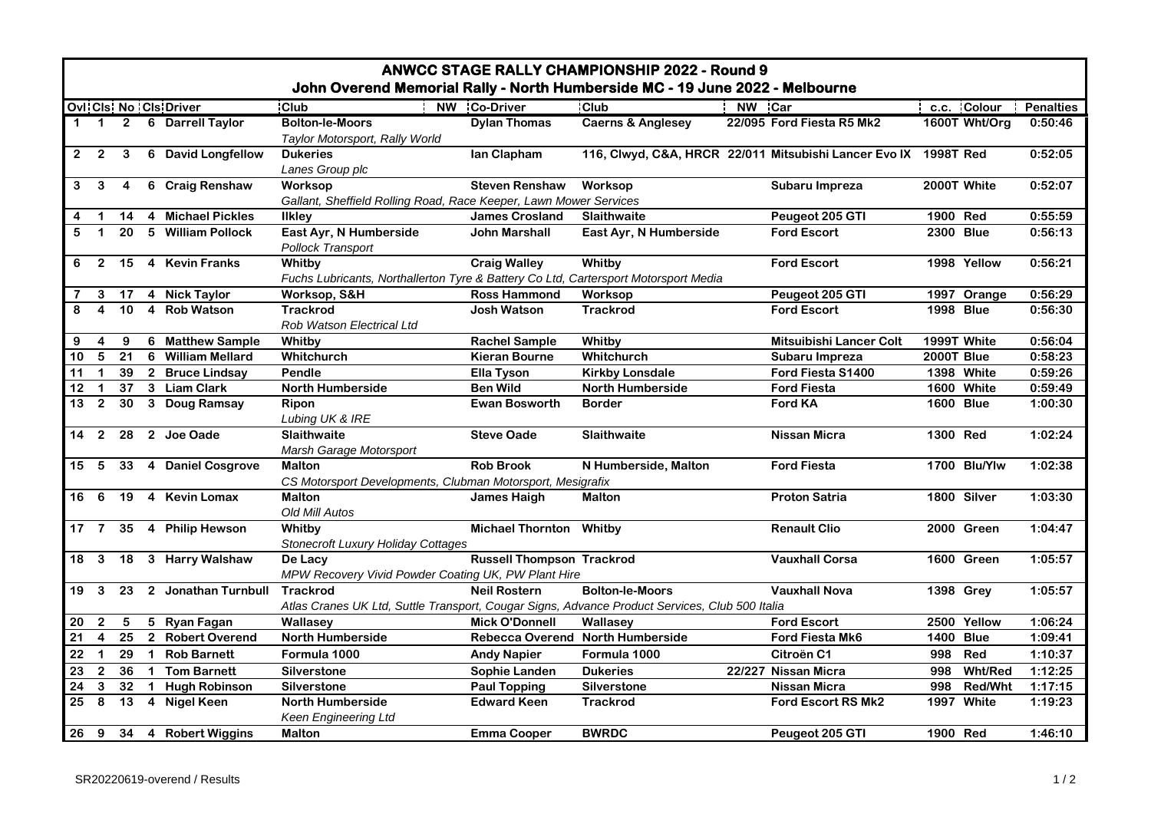| <b>ANWCC STAGE RALLY CHAMPIONSHIP 2022 - Round 9</b><br>John Overend Memorial Rally - North Humberside MC - 19 June 2022 - Melbourne |                         |                |  |                              |                                                                                                |                                  |                                  |        |                                                                 |                  |                  |                  |  |
|--------------------------------------------------------------------------------------------------------------------------------------|-------------------------|----------------|--|------------------------------|------------------------------------------------------------------------------------------------|----------------------------------|----------------------------------|--------|-----------------------------------------------------------------|------------------|------------------|------------------|--|
|                                                                                                                                      |                         |                |  | <b>Ovi Cis No Cis Driver</b> | $ $ Club                                                                                       | NW Co-Driver                     | <b>Club</b>                      | NW Car |                                                                 |                  | c.c. Colour      | <b>Penalties</b> |  |
| $\mathbf 1$                                                                                                                          |                         |                |  | 1 2 6 Darrell Taylor         | <b>Bolton-le-Moors</b><br>Taylor Motorsport, Rally World                                       | <b>Dylan Thomas</b>              | <b>Caerns &amp; Anglesey</b>     |        | 22/095 Ford Fiesta R5 Mk2                                       |                  | 1600T Wht/Org    | 0:50:46          |  |
| $\mathbf{2}$                                                                                                                         | $\overline{2}$          | 3              |  | 6 David Longfellow           | <b>Dukeries</b><br>Lanes Group plc                                                             | lan Clapham                      |                                  |        | 116, Clwyd, C&A, HRCR 22/011 Mitsubishi Lancer Evo IX 1998T Red |                  |                  | 0:52:05          |  |
| 3                                                                                                                                    | $\mathbf{3}$            | $\overline{4}$ |  | 6 Craig Renshaw              | Worksop<br>Gallant, Sheffield Rolling Road, Race Keeper, Lawn Mower Services                   | <b>Steven Renshaw</b>            | Worksop                          |        | Subaru Impreza                                                  |                  | 2000T White      | 0:52:07          |  |
| 4                                                                                                                                    |                         | 14             |  | 4 Michael Pickles            | <b>Ilkley</b>                                                                                  | <b>James Crosland</b>            | <b>Slaithwaite</b>               |        | Peugeot 205 GTI                                                 | 1900 Red         |                  | 0:55:59          |  |
| 5                                                                                                                                    | $\mathbf{1}$            |                |  | 20 5 William Pollock         | East Ayr, N Humberside<br><b>Pollock Transport</b>                                             | <b>John Marshall</b>             | East Ayr, N Humberside           |        | <b>Ford Escort</b>                                              |                  | 2300 Blue        | 0:56:13          |  |
| 6                                                                                                                                    | $\overline{2}$          |                |  | 15 4 Kevin Franks            | Whitby                                                                                         | <b>Craig Walley</b>              | Whitby                           |        | <b>Ford Escort</b>                                              |                  | 1998 Yellow      | 0:56:21          |  |
|                                                                                                                                      |                         |                |  |                              | Fuchs Lubricants, Northallerton Tyre & Battery Co Ltd, Cartersport Motorsport Media            |                                  |                                  |        |                                                                 |                  |                  |                  |  |
|                                                                                                                                      | 3                       |                |  | 17 4 Nick Taylor             | Worksop, S&H                                                                                   | <b>Ross Hammond</b>              | Worksop                          |        | Peugeot 205 GTI                                                 |                  | 1997 Orange      | 0:56:29          |  |
|                                                                                                                                      | $\overline{\mathbf{4}}$ | 10             |  | 4 Rob Watson                 | <b>Trackrod</b><br>Rob Watson Electrical Ltd                                                   | Josh Watson                      | <b>Trackrod</b>                  |        | <b>Ford Escort</b>                                              |                  | <b>1998 Blue</b> | 0:56:30          |  |
| 9                                                                                                                                    | $\overline{4}$          | 9              |  | 6 Matthew Sample             | Whitby                                                                                         | <b>Rachel Sample</b>             | Whitby                           |        | Mitsuibishi Lancer Colt                                         |                  | 1999T White      | 0:56:04          |  |
| 10                                                                                                                                   | $5\overline{)}$         | 21             |  | 6 William Mellard            | Whitchurch                                                                                     | <b>Kieran Bourne</b>             | Whitchurch                       |        | Subaru Impreza                                                  | 2000T Blue       |                  | 0:58:23          |  |
| 11                                                                                                                                   | $\mathbf 1$             |                |  | 39 2 Bruce Lindsay           | Pendle                                                                                         | <b>Ella Tyson</b>                | <b>Kirkby Lonsdale</b>           |        | Ford Fiesta S1400                                               |                  | 1398 White       | 0:59:26          |  |
| 12                                                                                                                                   | $\mathbf 1$             |                |  | 37 3 Liam Clark              | <b>North Humberside</b>                                                                        | <b>Ben Wild</b>                  | <b>North Humberside</b>          |        | <b>Ford Fiesta</b>                                              |                  | 1600 White       | 0:59:49          |  |
| 13                                                                                                                                   | $\overline{2}$          | 30             |  | 3 Doug Ramsay                | <b>Ripon</b><br>Lubing UK & IRE                                                                | <b>Ewan Bosworth</b>             | <b>Border</b>                    |        | Ford KA                                                         |                  | <b>1600 Blue</b> | 1:00:30          |  |
|                                                                                                                                      |                         |                |  | 14 2 28 2 Joe Oade           | <b>Slaithwaite</b><br>Marsh Garage Motorsport                                                  | <b>Steve Oade</b>                | <b>Slaithwaite</b>               |        | <b>Nissan Micra</b>                                             | 1300 Red         |                  | 1:02:24          |  |
| 15 5                                                                                                                                 |                         |                |  | 33 4 Daniel Cosgrove         | <b>Malton</b>                                                                                  | <b>Rob Brook</b>                 | N Humberside, Malton             |        | <b>Ford Fiesta</b>                                              |                  | 1700 Blu/Ylw     | 1:02:38          |  |
|                                                                                                                                      |                         |                |  |                              | CS Motorsport Developments, Clubman Motorsport, Mesigrafix                                     |                                  |                                  |        |                                                                 |                  |                  |                  |  |
| 16 6                                                                                                                                 |                         | 19             |  | 4 Kevin Lomax                | <b>Malton</b><br>Old Mill Autos                                                                | <b>James Haigh</b>               | <b>Malton</b>                    |        | <b>Proton Satria</b>                                            |                  | 1800 Silver      | 1:03:30          |  |
|                                                                                                                                      |                         |                |  | 17 7 35 4 Philip Hewson      | Whitby<br><b>Stonecroft Luxury Holiday Cottages</b>                                            | <b>Michael Thornton Whitby</b>   |                                  |        | <b>Renault Clio</b>                                             |                  | 2000 Green       | 1:04:47          |  |
|                                                                                                                                      |                         |                |  | 18 3 18 3 Harry Walshaw      | De Lacv<br>MPW Recovery Vivid Powder Coating UK, PW Plant Hire                                 | <b>Russell Thompson Trackrod</b> |                                  |        | <b>Vauxhall Corsa</b>                                           |                  | 1600 Green       | 1:05:57          |  |
|                                                                                                                                      |                         |                |  | 19 3 23 2 Jonathan Turnbull  | <b>Trackrod</b>                                                                                | <b>Neil Rostern</b>              | <b>Bolton-le-Moors</b>           |        | <b>Vauxhall Nova</b>                                            |                  | 1398 Grey        | 1:05:57          |  |
|                                                                                                                                      |                         |                |  |                              | Atlas Cranes UK Ltd, Suttle Transport, Cougar Signs, Advance Product Services, Club 500 Italia |                                  |                                  |        |                                                                 |                  |                  |                  |  |
| 20                                                                                                                                   | $\overline{2}$          | 5              |  | 5 Ryan Fagan                 | Wallasey                                                                                       | <b>Mick O'Donnell</b>            | Wallasev                         |        | <b>Ford Escort</b>                                              |                  | 2500 Yellow      | 1:06:24          |  |
| 21                                                                                                                                   | $\overline{4}$          |                |  | 25 2 Robert Overend          | <b>North Humberside</b>                                                                        |                                  | Rebecca Overend North Humberside |        | Ford Fiesta Mk6                                                 | <b>1400 Blue</b> |                  | 1:09:41          |  |
| 22                                                                                                                                   | $\mathbf{1}$            |                |  | 29 1 Rob Barnett             | Formula 1000                                                                                   | <b>Andy Napier</b>               | Formula 1000                     |        | Citroën C1                                                      | 998              | Red              | 1:10:37          |  |
| 23                                                                                                                                   | $\overline{2}$          | 36             |  | 1 Tom Barnett                | Silverstone                                                                                    | Sophie Landen                    | <b>Dukeries</b>                  |        | 22/227 Nissan Micra                                             | 998              | <b>Wht/Red</b>   | 1:12:25          |  |
| 24                                                                                                                                   | 3                       | $32 \quad 1$   |  | <b>Hugh Robinson</b>         | <b>Silverstone</b>                                                                             | <b>Paul Topping</b>              | <b>Silverstone</b>               |        | <b>Nissan Micra</b>                                             | 998              | Red/Wht          | 1:17:15          |  |
| 25                                                                                                                                   | 8                       | 13             |  | 4 Nigel Keen                 | <b>North Humberside</b><br><b>Keen Engineering Ltd</b>                                         | <b>Edward Keen</b>               | <b>Trackrod</b>                  |        | <b>Ford Escort RS Mk2</b>                                       |                  | 1997 White       | 1:19:23          |  |
| 26                                                                                                                                   |                         |                |  | 9 34 4 Robert Wiggins        | <b>Malton</b>                                                                                  | <b>Emma Cooper</b>               | <b>BWRDC</b>                     |        | Peugeot 205 GTI                                                 | 1900 Red         |                  | 1:46:10          |  |